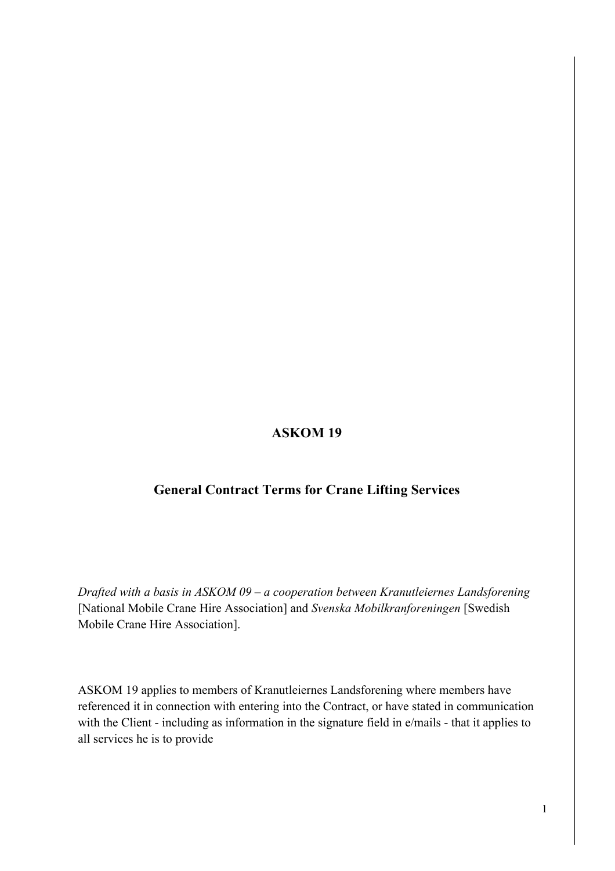# **ASKOM 19**

### **General Contract Terms for Crane Lifting Services**

*Drafted with a basis in ASKOM 09 – a cooperation between Kranutleiernes Landsforening*  [National Mobile Crane Hire Association] and *Svenska Mobilkranforeningen* [Swedish Mobile Crane Hire Association].

ASKOM 19 applies to members of Kranutleiernes Landsforening where members have referenced it in connection with entering into the Contract, or have stated in communication with the Client - including as information in the signature field in e/mails - that it applies to all services he is to provide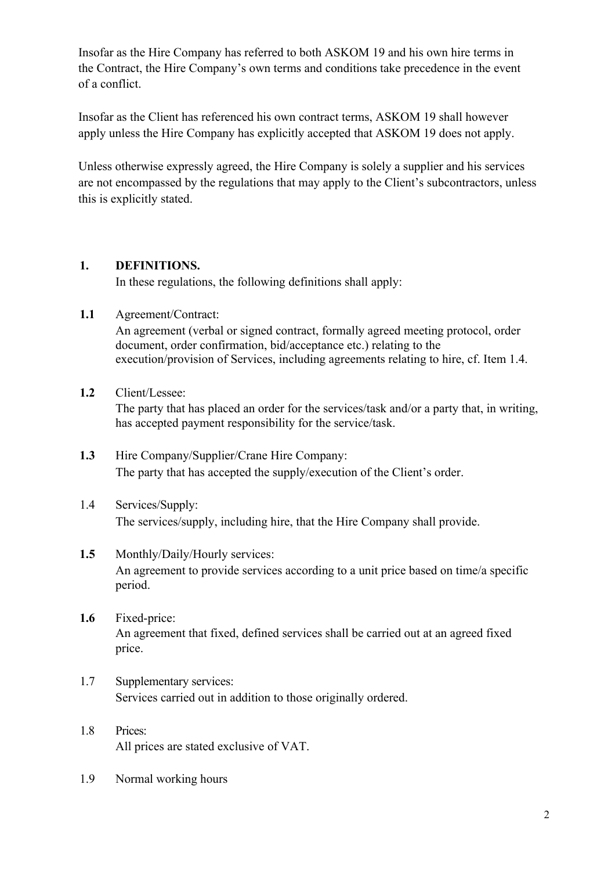Insofar as the Hire Company has referred to both ASKOM 19 and his own hire terms in the Contract, the Hire Company's own terms and conditions take precedence in the event of a conflict.

Insofar as the Client has referenced his own contract terms, ASKOM 19 shall however apply unless the Hire Company has explicitly accepted that ASKOM 19 does not apply.

Unless otherwise expressly agreed, the Hire Company is solely a supplier and his services are not encompassed by the regulations that may apply to the Client's subcontractors, unless this is explicitly stated.

### **1. DEFINITIONS.**

In these regulations, the following definitions shall apply:

**1.1** Agreement/Contract:

An agreement (verbal or signed contract, formally agreed meeting protocol, order document, order confirmation, bid/acceptance etc.) relating to the execution/provision of Services, including agreements relating to hire, cf. Item 1.4.

**1.2** Client/Lessee:

The party that has placed an order for the services/task and/or a party that, in writing, has accepted payment responsibility for the service/task.

- **1.3** Hire Company/Supplier/Crane Hire Company: The party that has accepted the supply/execution of the Client's order.
- 1.4 Services/Supply: The services/supply, including hire, that the Hire Company shall provide.
- 1.5 Monthly/Daily/Hourly services: An agreement to provide services according to a unit price based on time/a specific period.
- **1.6** Fixed-price: An agreement that fixed, defined services shall be carried out at an agreed fixed price.
- 1.7 Supplementary services: Services carried out in addition to those originally ordered.
- 1.8 Prices: All prices are stated exclusive of VAT.
- 1.9 Normal working hours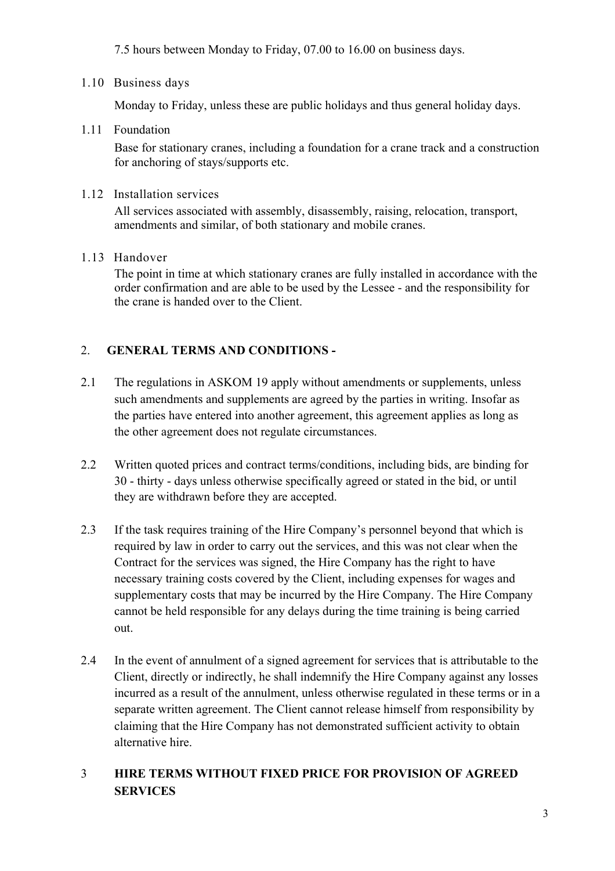7.5 hours between Monday to Friday, 07.00 to 16.00 on business days.

### 1.10 Business days

Monday to Friday, unless these are public holidays and thus general holiday days.

1.11 Foundation

Base for stationary cranes, including a foundation for a crane track and a construction for anchoring of stays/supports etc.

### 1.12 Installation services

All services associated with assembly, disassembly, raising, relocation, transport, amendments and similar, of both stationary and mobile cranes.

1.13 Handover

The point in time at which stationary cranes are fully installed in accordance with the order confirmation and are able to be used by the Lessee - and the responsibility for the crane is handed over to the Client.

# 2. **GENERAL TERMS AND CONDITIONS -**

- 2.1 The regulations in ASKOM 19 apply without amendments or supplements, unless such amendments and supplements are agreed by the parties in writing. Insofar as the parties have entered into another agreement, this agreement applies as long as the other agreement does not regulate circumstances.
- 2.2 Written quoted prices and contract terms/conditions, including bids, are binding for 30 - thirty - days unless otherwise specifically agreed or stated in the bid, or until they are withdrawn before they are accepted.
- 2.3 If the task requires training of the Hire Company's personnel beyond that which is required by law in order to carry out the services, and this was not clear when the Contract for the services was signed, the Hire Company has the right to have necessary training costs covered by the Client, including expenses for wages and supplementary costs that may be incurred by the Hire Company. The Hire Company cannot be held responsible for any delays during the time training is being carried out.
- 2.4 In the event of annulment of a signed agreement for services that is attributable to the Client, directly or indirectly, he shall indemnify the Hire Company against any losses incurred as a result of the annulment, unless otherwise regulated in these terms or in a separate written agreement. The Client cannot release himself from responsibility by claiming that the Hire Company has not demonstrated sufficient activity to obtain alternative hire.

# 3 **HIRE TERMS WITHOUT FIXED PRICE FOR PROVISION OF AGREED SERVICES**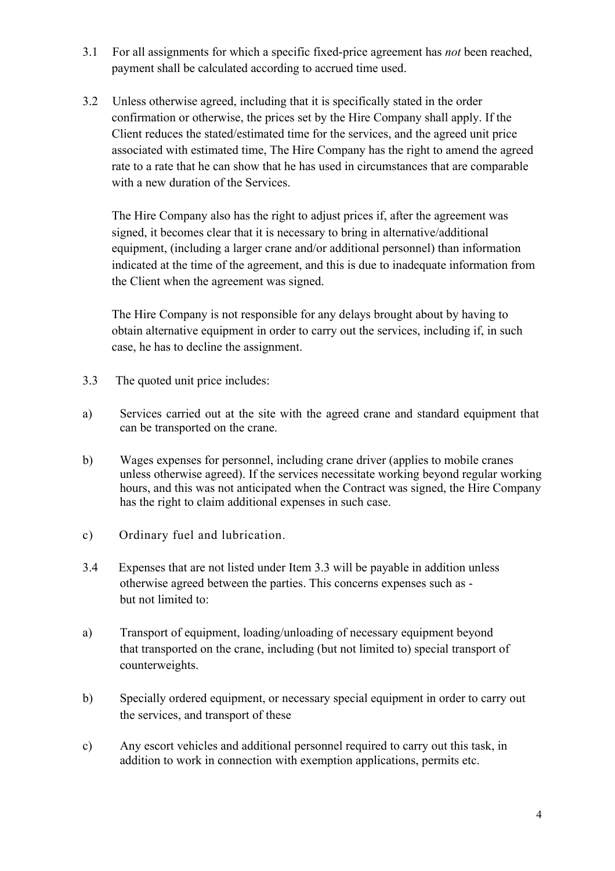- 3.1 For all assignments for which a specific fixed-price agreement has *not* been reached, payment shall be calculated according to accrued time used.
- 3.2 Unless otherwise agreed, including that it is specifically stated in the order confirmation or otherwise, the prices set by the Hire Company shall apply. If the Client reduces the stated/estimated time for the services, and the agreed unit price associated with estimated time, The Hire Company has the right to amend the agreed rate to a rate that he can show that he has used in circumstances that are comparable with a new duration of the Services.

The Hire Company also has the right to adjust prices if, after the agreement was signed, it becomes clear that it is necessary to bring in alternative/additional equipment, (including a larger crane and/or additional personnel) than information indicated at the time of the agreement, and this is due to inadequate information from the Client when the agreement was signed.

The Hire Company is not responsible for any delays brought about by having to obtain alternative equipment in order to carry out the services, including if, in such case, he has to decline the assignment.

- 3.3 The quoted unit price includes:
- a) Services carried out at the site with the agreed crane and standard equipment that can be transported on the crane.
- b) Wages expenses for personnel, including crane driver (applies to mobile cranes unless otherwise agreed). If the services necessitate working beyond regular working hours, and this was not anticipated when the Contract was signed, the Hire Company has the right to claim additional expenses in such case.
- c) Ordinary fuel and lubrication.
- 3.4 Expenses that are not listed under Item 3.3 will be payable in addition unless otherwise agreed between the parties. This concerns expenses such as but not limited to:
- a) Transport of equipment, loading/unloading of necessary equipment beyond that transported on the crane, including (but not limited to) special transport of counterweights.
- b) Specially ordered equipment, or necessary special equipment in order to carry out the services, and transport of these
- c) Any escort vehicles and additional personnel required to carry out this task, in addition to work in connection with exemption applications, permits etc.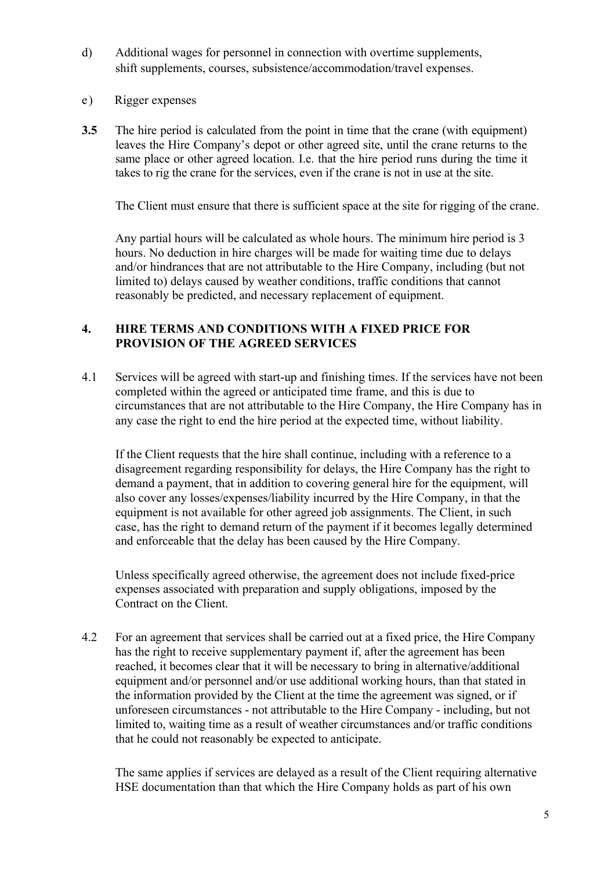- d) Additional wages for personnel in connection with overtime supplements, shift supplements, courses, subsistence/accommodation/travel expenses.
- e) Rigger expenses
- **3.5** The hire period is calculated from the point in time that the crane (with equipment) leaves the Hire Company's depot or other agreed site, until the crane returns to the same place or other agreed location. I.e. that the hire period runs during the time it takes to rig the crane for the services, even if the crane is not in use at the site.

The Client must ensure that there is sufficient space at the site for rigging of the crane.

Any partial hours will be calculated as whole hours. The minimum hire period is 3 hours. No deduction in hire charges will be made for waiting time due to delays and/or hindrances that are not attributable to the Hire Company, including (but not limited to) delays caused by weather conditions, traffic conditions that cannot reasonably be predicted, and necessary replacement of equipment.

#### **4. HIRE TERMS AND CONDITIONS WITH A FIXED PRICE FOR PROVISION OF THE AGREED SERVICES**

4.1 Services will be agreed with start-up and finishing times. If the services have not been completed within the agreed or anticipated time frame, and this is due to circumstances that are not attributable to the Hire Company, the Hire Company has in any case the right to end the hire period at the expected time, without liability.

If the Client requests that the hire shall continue, including with a reference to a disagreement regarding responsibility for delays, the Hire Company has the right to demand a payment, that in addition to covering general hire for the equipment, will also cover any losses/expenses/liability incurred by the Hire Company, in that the equipment is not available for other agreed job assignments. The Client, in such case, has the right to demand return of the payment if it becomes legally determined and enforceable that the delay has been caused by the Hire Company.

Unless specifically agreed otherwise, the agreement does not include fixed-price expenses associated with preparation and supply obligations, imposed by the Contract on the Client.

4.2 For an agreement that services shall be carried out at a fixed price, the Hire Company has the right to receive supplementary payment if, after the agreement has been reached, it becomes clear that it will be necessary to bring in alternative/additional equipment and/or personnel and/or use additional working hours, than that stated in the information provided by the Client at the time the agreement was signed, or if unforeseen circumstances - not attributable to the Hire Company - including, but not limited to, waiting time as a result of weather circumstances and/or traffic conditions that he could not reasonably be expected to anticipate.

The same applies if services are delayed as a result of the Client requiring alternative HSE documentation than that which the Hire Company holds as part of his own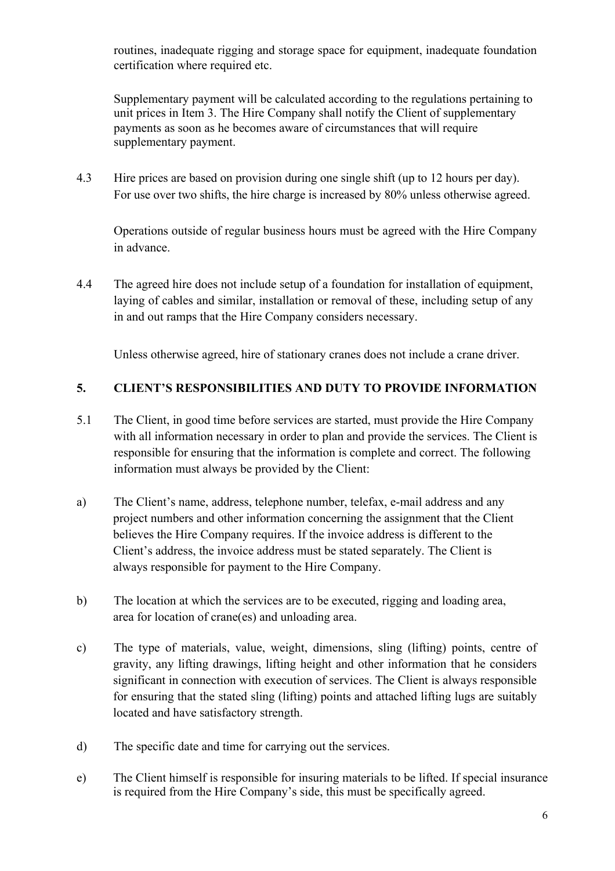routines, inadequate rigging and storage space for equipment, inadequate foundation certification where required etc.

Supplementary payment will be calculated according to the regulations pertaining to unit prices in Item 3. The Hire Company shall notify the Client of supplementary payments as soon as he becomes aware of circumstances that will require supplementary payment.

4.3 Hire prices are based on provision during one single shift (up to 12 hours per day). For use over two shifts, the hire charge is increased by 80% unless otherwise agreed.

Operations outside of regular business hours must be agreed with the Hire Company in advance.

4.4 The agreed hire does not include setup of a foundation for installation of equipment, laying of cables and similar, installation or removal of these, including setup of any in and out ramps that the Hire Company considers necessary.

Unless otherwise agreed, hire of stationary cranes does not include a crane driver.

### **5. CLIENT'S RESPONSIBILITIES AND DUTY TO PROVIDE INFORMATION**

- 5.1 The Client, in good time before services are started, must provide the Hire Company with all information necessary in order to plan and provide the services. The Client is responsible for ensuring that the information is complete and correct. The following information must always be provided by the Client:
- a) The Client's name, address, telephone number, telefax, e-mail address and any project numbers and other information concerning the assignment that the Client believes the Hire Company requires. If the invoice address is different to the Client's address, the invoice address must be stated separately. The Client is always responsible for payment to the Hire Company.
- b) The location at which the services are to be executed, rigging and loading area, area for location of crane(es) and unloading area.
- c) The type of materials, value, weight, dimensions, sling (lifting) points, centre of gravity, any lifting drawings, lifting height and other information that he considers significant in connection with execution of services. The Client is always responsible for ensuring that the stated sling (lifting) points and attached lifting lugs are suitably located and have satisfactory strength.
- d) The specific date and time for carrying out the services.
- e) The Client himself is responsible for insuring materials to be lifted. If special insurance is required from the Hire Company's side, this must be specifically agreed.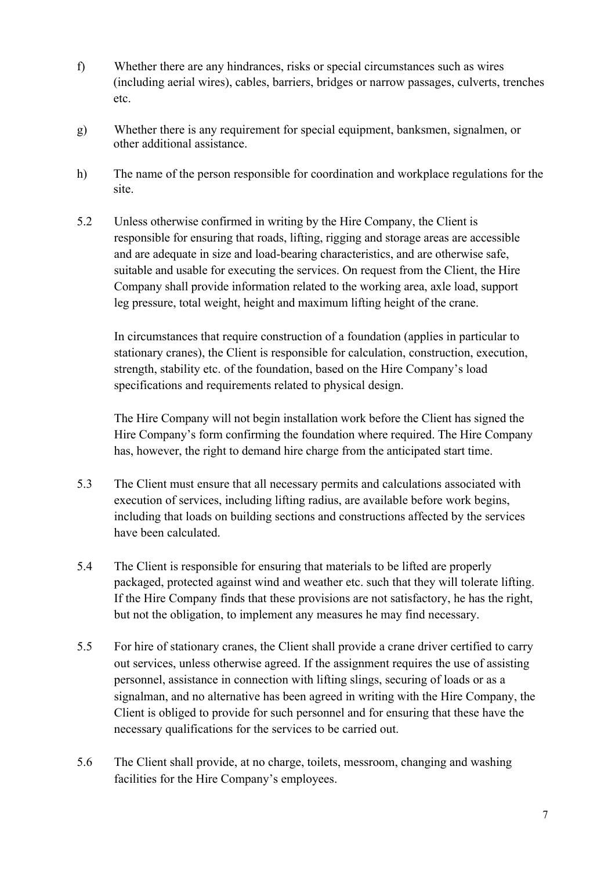- f) Whether there are any hindrances, risks or special circumstances such as wires (including aerial wires), cables, barriers, bridges or narrow passages, culverts, trenches etc.
- g) Whether there is any requirement for special equipment, banksmen, signalmen, or other additional assistance.
- h) The name of the person responsible for coordination and workplace regulations for the site.
- 5.2 Unless otherwise confirmed in writing by the Hire Company, the Client is responsible for ensuring that roads, lifting, rigging and storage areas are accessible and are adequate in size and load-bearing characteristics, and are otherwise safe, suitable and usable for executing the services. On request from the Client, the Hire Company shall provide information related to the working area, axle load, support leg pressure, total weight, height and maximum lifting height of the crane.

In circumstances that require construction of a foundation (applies in particular to stationary cranes), the Client is responsible for calculation, construction, execution, strength, stability etc. of the foundation, based on the Hire Company's load specifications and requirements related to physical design.

The Hire Company will not begin installation work before the Client has signed the Hire Company's form confirming the foundation where required. The Hire Company has, however, the right to demand hire charge from the anticipated start time.

- 5.3 The Client must ensure that all necessary permits and calculations associated with execution of services, including lifting radius, are available before work begins, including that loads on building sections and constructions affected by the services have been calculated.
- 5.4 The Client is responsible for ensuring that materials to be lifted are properly packaged, protected against wind and weather etc. such that they will tolerate lifting. If the Hire Company finds that these provisions are not satisfactory, he has the right, but not the obligation, to implement any measures he may find necessary.
- 5.5 For hire of stationary cranes, the Client shall provide a crane driver certified to carry out services, unless otherwise agreed. If the assignment requires the use of assisting personnel, assistance in connection with lifting slings, securing of loads or as a signalman, and no alternative has been agreed in writing with the Hire Company, the Client is obliged to provide for such personnel and for ensuring that these have the necessary qualifications for the services to be carried out.
- 5.6 The Client shall provide, at no charge, toilets, messroom, changing and washing facilities for the Hire Company's employees.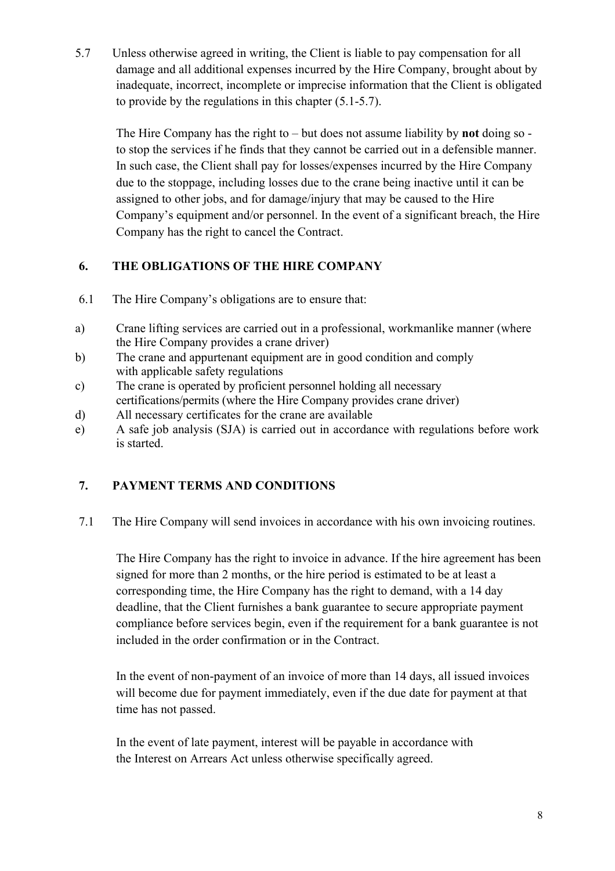5.7 Unless otherwise agreed in writing, the Client is liable to pay compensation for all damage and all additional expenses incurred by the Hire Company, brought about by inadequate, incorrect, incomplete or imprecise information that the Client is obligated to provide by the regulations in this chapter (5.1-5.7).

The Hire Company has the right to – but does not assume liability by **not** doing so to stop the services if he finds that they cannot be carried out in a defensible manner. In such case, the Client shall pay for losses/expenses incurred by the Hire Company due to the stoppage, including losses due to the crane being inactive until it can be assigned to other jobs, and for damage/injury that may be caused to the Hire Company's equipment and/or personnel. In the event of a significant breach, the Hire Company has the right to cancel the Contract.

# **6. THE OBLIGATIONS OF THE HIRE COMPANY**

- 6.1 The Hire Company's obligations are to ensure that:
- a) Crane lifting services are carried out in a professional, workmanlike manner (where the Hire Company provides a crane driver)
- b) The crane and appurtenant equipment are in good condition and comply with applicable safety regulations
- c) The crane is operated by proficient personnel holding all necessary certifications/permits (where the Hire Company provides crane driver)
- d) All necessary certificates for the crane are available
- e) A safe job analysis (SJA) is carried out in accordance with regulations before work is started.

# **7. PAYMENT TERMS AND CONDITIONS**

7.1 The Hire Company will send invoices in accordance with his own invoicing routines.

The Hire Company has the right to invoice in advance. If the hire agreement has been signed for more than 2 months, or the hire period is estimated to be at least a corresponding time, the Hire Company has the right to demand, with a 14 day deadline, that the Client furnishes a bank guarantee to secure appropriate payment compliance before services begin, even if the requirement for a bank guarantee is not included in the order confirmation or in the Contract.

In the event of non-payment of an invoice of more than 14 days, all issued invoices will become due for payment immediately, even if the due date for payment at that time has not passed.

In the event of late payment, interest will be payable in accordance with the Interest on Arrears Act unless otherwise specifically agreed.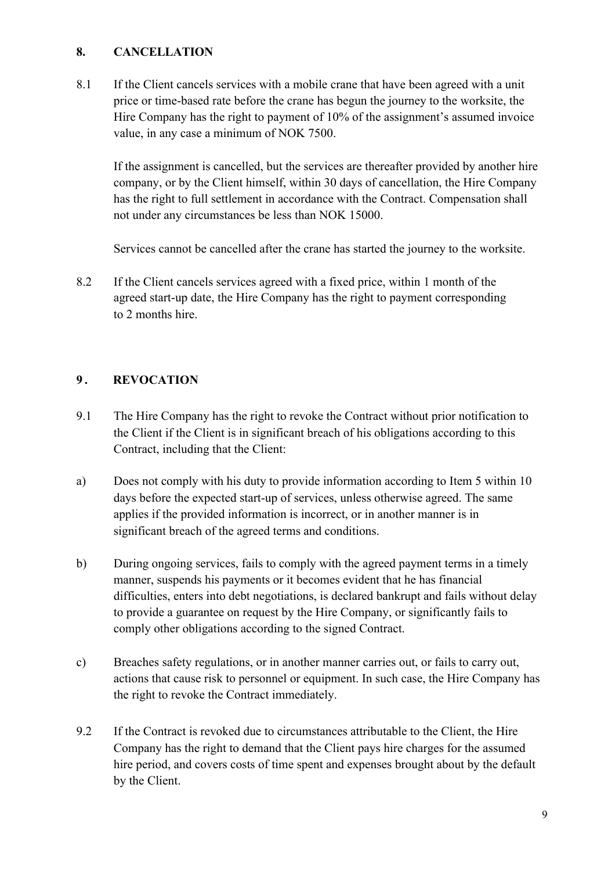### **8. CANCELLATION**

8.1 If the Client cancels services with a mobile crane that have been agreed with a unit price or time-based rate before the crane has begun the journey to the worksite, the Hire Company has the right to payment of 10% of the assignment's assumed invoice value, in any case a minimum of NOK 7500.

If the assignment is cancelled, but the services are thereafter provided by another hire company, or by the Client himself, within 30 days of cancellation, the Hire Company has the right to full settlement in accordance with the Contract. Compensation shall not under any circumstances be less than NOK 15000.

Services cannot be cancelled after the crane has started the journey to the worksite.

8.2 If the Client cancels services agreed with a fixed price, within 1 month of the agreed start-up date, the Hire Company has the right to payment corresponding to 2 months hire.

### **9 . REVOCATION**

- 9.1 The Hire Company has the right to revoke the Contract without prior notification to the Client if the Client is in significant breach of his obligations according to this Contract, including that the Client:
- a) Does not comply with his duty to provide information according to Item 5 within 10 days before the expected start-up of services, unless otherwise agreed. The same applies if the provided information is incorrect, or in another manner is in significant breach of the agreed terms and conditions.
- b) During ongoing services, fails to comply with the agreed payment terms in a timely manner, suspends his payments or it becomes evident that he has financial difficulties, enters into debt negotiations, is declared bankrupt and fails without delay to provide a guarantee on request by the Hire Company, or significantly fails to comply other obligations according to the signed Contract.
- c) Breaches safety regulations, or in another manner carries out, or fails to carry out, actions that cause risk to personnel or equipment. In such case, the Hire Company has the right to revoke the Contract immediately.
- 9.2 If the Contract is revoked due to circumstances attributable to the Client, the Hire Company has the right to demand that the Client pays hire charges for the assumed hire period, and covers costs of time spent and expenses brought about by the default by the Client.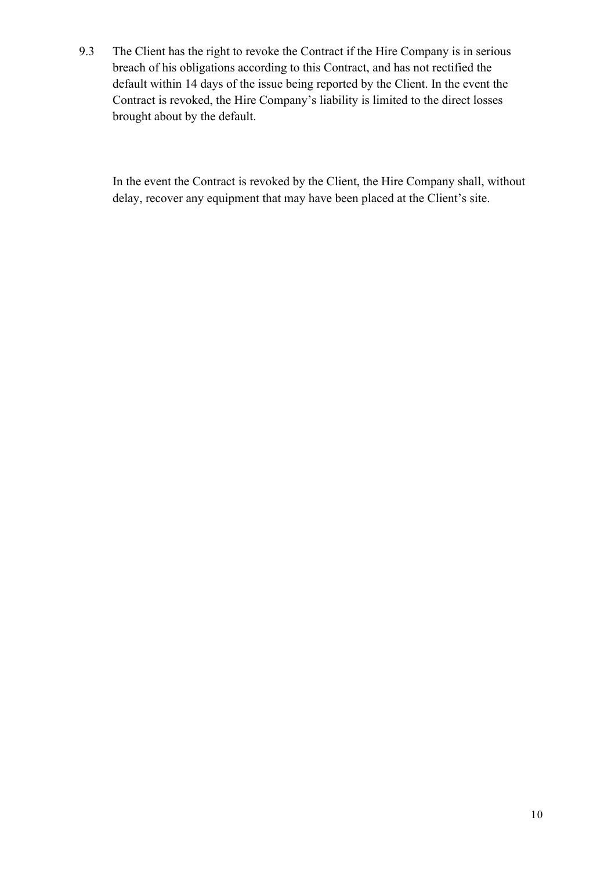9.3 The Client has the right to revoke the Contract if the Hire Company is in serious breach of his obligations according to this Contract, and has not rectified the default within 14 days of the issue being reported by the Client. In the event the Contract is revoked, the Hire Company's liability is limited to the direct losses brought about by the default.

In the event the Contract is revoked by the Client, the Hire Company shall, without delay, recover any equipment that may have been placed at the Client's site.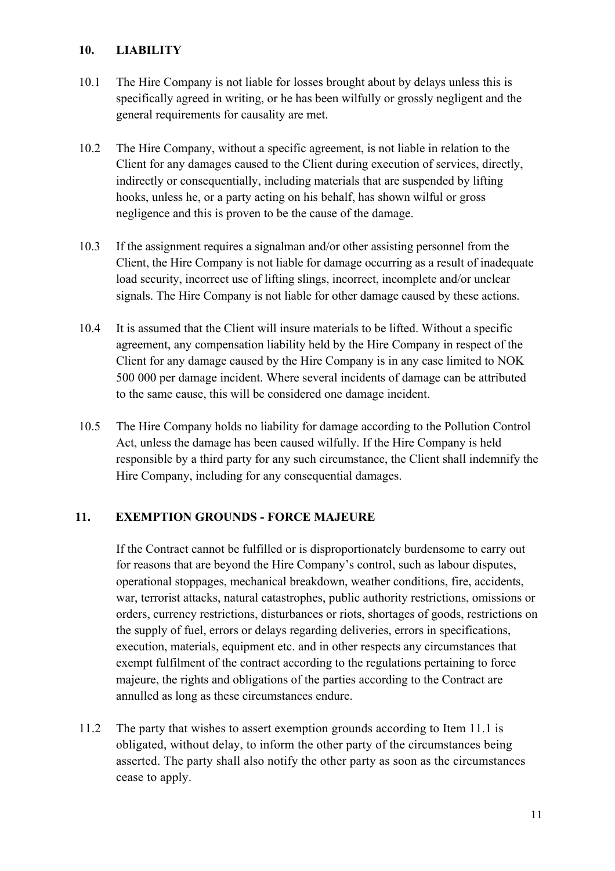### **10. LIABILITY**

- 10.1 The Hire Company is not liable for losses brought about by delays unless this is specifically agreed in writing, or he has been wilfully or grossly negligent and the general requirements for causality are met.
- 10.2 The Hire Company, without a specific agreement, is not liable in relation to the Client for any damages caused to the Client during execution of services, directly, indirectly or consequentially, including materials that are suspended by lifting hooks, unless he, or a party acting on his behalf, has shown wilful or gross negligence and this is proven to be the cause of the damage.
- 10.3 If the assignment requires a signalman and/or other assisting personnel from the Client, the Hire Company is not liable for damage occurring as a result of inadequate load security, incorrect use of lifting slings, incorrect, incomplete and/or unclear signals. The Hire Company is not liable for other damage caused by these actions.
- 10.4 It is assumed that the Client will insure materials to be lifted. Without a specific agreement, any compensation liability held by the Hire Company in respect of the Client for any damage caused by the Hire Company is in any case limited to NOK 500 000 per damage incident. Where several incidents of damage can be attributed to the same cause, this will be considered one damage incident.
- 10.5 The Hire Company holds no liability for damage according to the Pollution Control Act, unless the damage has been caused wilfully. If the Hire Company is held responsible by a third party for any such circumstance, the Client shall indemnify the Hire Company, including for any consequential damages.

### **11. EXEMPTION GROUNDS - FORCE MAJEURE**

If the Contract cannot be fulfilled or is disproportionately burdensome to carry out for reasons that are beyond the Hire Company's control, such as labour disputes, operational stoppages, mechanical breakdown, weather conditions, fire, accidents, war, terrorist attacks, natural catastrophes, public authority restrictions, omissions or orders, currency restrictions, disturbances or riots, shortages of goods, restrictions on the supply of fuel, errors or delays regarding deliveries, errors in specifications, execution, materials, equipment etc. and in other respects any circumstances that exempt fulfilment of the contract according to the regulations pertaining to force majeure, the rights and obligations of the parties according to the Contract are annulled as long as these circumstances endure.

11.2 The party that wishes to assert exemption grounds according to Item 11.1 is obligated, without delay, to inform the other party of the circumstances being asserted. The party shall also notify the other party as soon as the circumstances cease to apply.